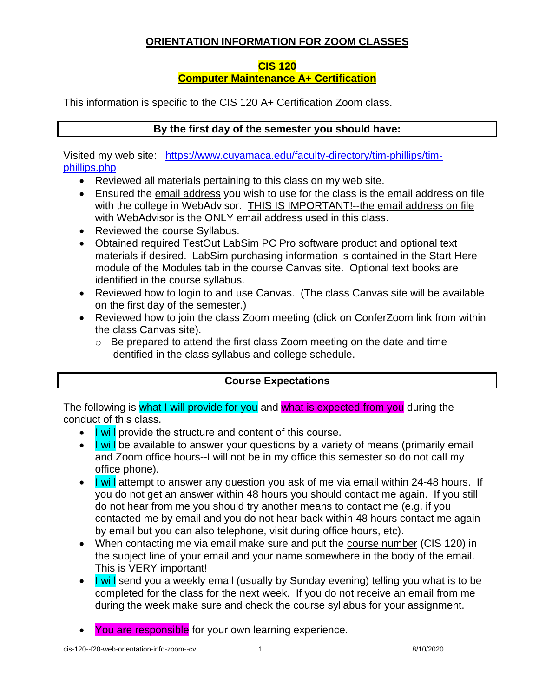### **ORIENTATION INFORMATION FOR ZOOM CLASSES**

#### **CIS 120**

### **Computer Maintenance A+ Certification**

This information is specific to the CIS 120 A+ Certification Zoom class.

### **By the first day of the semester you should have:**

Visited my web site: [https://www.cuyamaca.edu/faculty-directory/tim-phillips/tim](https://www.cuyamaca.edu/faculty-directory/tim-phillips/tim-phillips.php)[phillips.php](https://www.cuyamaca.edu/faculty-directory/tim-phillips/tim-phillips.php)

- Reviewed all materials pertaining to this class on my web site.
- Ensured the email address you wish to use for the class is the email address on file with the college in WebAdvisor. THIS IS IMPORTANT!--the email address on file with WebAdvisor is the ONLY email address used in this class.
- Reviewed the course Syllabus.
- Obtained required TestOut LabSim PC Pro software product and optional text materials if desired. LabSim purchasing information is contained in the Start Here module of the Modules tab in the course Canvas site. Optional text books are identified in the course syllabus.
- Reviewed how to login to and use Canvas. (The class Canvas site will be available on the first day of the semester.)
- Reviewed how to join the class Zoom meeting (click on ConferZoom link from within the class Canvas site).
	- $\circ$  Be prepared to attend the first class Zoom meeting on the date and time identified in the class syllabus and college schedule.

## **Course Expectations**

The following is what I will provide for you and what is expected from you during the conduct of this class.

- I will provide the structure and content of this course.
- I will be available to answer your questions by a variety of means (primarily email and Zoom office hours--I will not be in my office this semester so do not call my office phone).
- I will attempt to answer any question you ask of me via email within 24-48 hours. If you do not get an answer within 48 hours you should contact me again. If you still do not hear from me you should try another means to contact me (e.g. if you contacted me by email and you do not hear back within 48 hours contact me again by email but you can also telephone, visit during office hours, etc).
- When contacting me via email make sure and put the course number (CIS 120) in the subject line of your email and your name somewhere in the body of the email. This is VERY important!
- I will send you a weekly email (usually by Sunday evening) telling you what is to be completed for the class for the next week. If you do not receive an email from me during the week make sure and check the course syllabus for your assignment.
- You are responsible for your own learning experience.